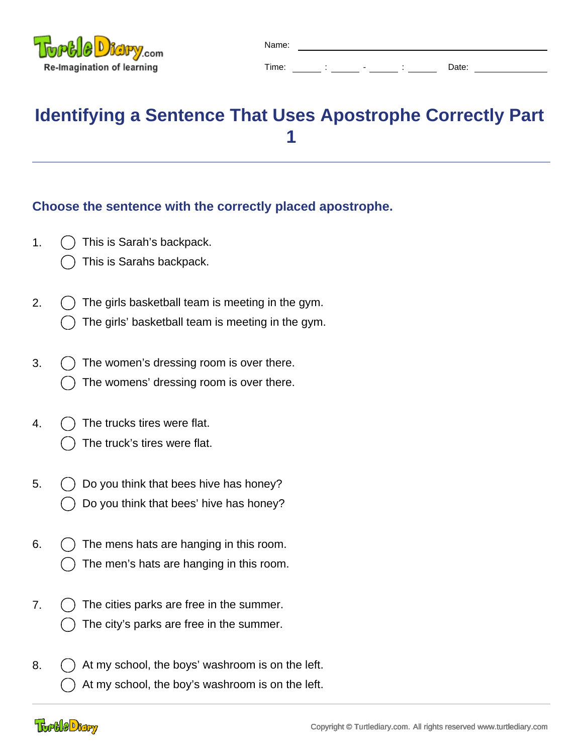

Time: : : - : : Date:

**Identifying a Sentence That Uses Apostrophe Correctly Part 1**

Name:

## **Choose the sentence with the correctly placed apostrophe.**

- 1.  $( )$  This is Sarah's backpack.
	- This is Sarahs backpack.
- 2.  $( )$  The girls basketball team is meeting in the gym. The girls' basketball team is meeting in the gym.
- 3.  $\binom{1}{2}$  The women's dressing room is over there. The womens' dressing room is over there.
- 4.  $( )$  The trucks tires were flat.
	- The truck's tires were flat.
- 5.  $\bigcirc$  Do you think that bees hive has honey? Do you think that bees' hive has honey?
- 6.  $( )$  The mens hats are hanging in this room. The men's hats are hanging in this room.
- 7. () The cities parks are free in the summer. The city's parks are free in the summer.
- 8.  $\bigcirc$  At my school, the boys' washroom is on the left. At my school, the boy's washroom is on the left.

## **Toole Digry**